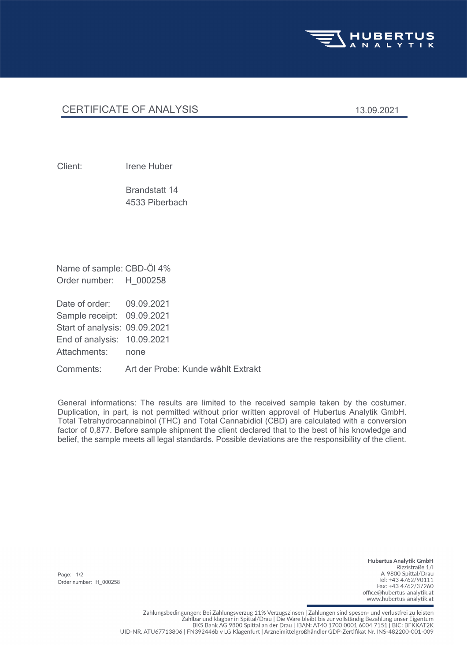

## CERTIFICATE OF ANALYSIS 13.09.2021

Client: Irene Huber

4533 Piberbach Brandstatt 14

Order number: H\_000258 Name of sample: CBD-Öl 4%

Attachments: none End of analysis: 10.09.2021 Start of analysis: 09.09.2021 Sample receipt: 09.09.2021 Date of order: 09.09.2021

Comments: Art der Probe: Kunde wählt Extrakt

General informations: The results are limited to the received sample taken by the costumer. Duplication, in part, is not permitted without prior written approval of Hubertus Analytik GmbH. Total Tetrahydrocannabinol (THC) and Total Cannabidiol (CBD) are calculated with a conversion factor of 0,877. Before sample shipment the client declared that to the best of his knowledge and belief, the sample meets all legal standards. Possible deviations are the responsibility of the client.

Page: 1/2 Order number: H\_000258

**Hubertus Analytik GmbH** Rizzistraße 1/1 A-9800 Spittal/Drau Tel: +43 4762/90111 Fax: +43 4762/37260 office@hubertus-analytik.at www.hubertus-analytik.at

Zahlungsbedingungen: Bei Zahlungsverzug 11% Verzugszinsen | Zahlungen sind spesen- und verlustfrei zu leisten Zahlbar und klagbar in Spittal/Drau | Die Ware bleibt bis zur vollständig Bezahlung unser Eigentum BKS Bank AG 9800 Spittal an der Drau | IBAN: AT40 1700 0001 6004 7151 | BIC: BFKKAT2K UID-NR. ATU67713806 | FN392446b v LG Klagenfurt | Arzneimittelgroßhändler GDP-Zertifikat Nr. INS-482200-001-009